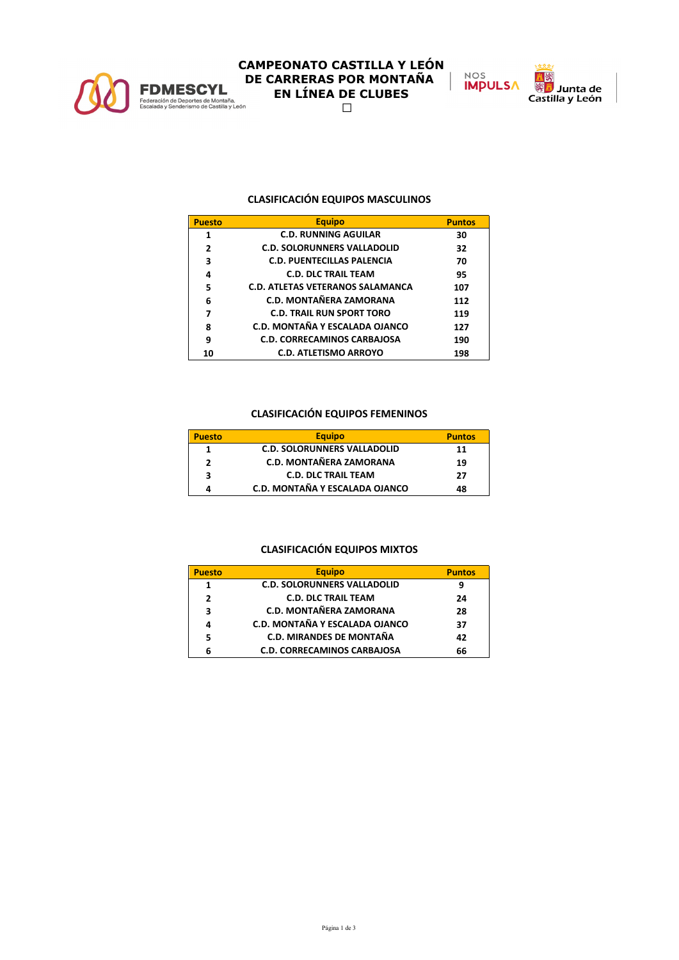

# **CAMPEONATO CASTILLA Y LEÓN FDMESCYL**<br> **DE CARRERAS POR MONTAÑA**<br> **EN LÍNEA DE CLUBES**<br>
Escalada y Senderismo de Castilla y León<br>  $\square$  **EN LÍNEA DE CLUBES**



## **CLASIFICACIÓN EQUIPOS MASCULINOS**

| <b>Puesto</b>            | <b>Equipo</b>                      | <b>Puntos</b> |
|--------------------------|------------------------------------|---------------|
| 1                        | <b>C.D. RUNNING AGUILAR</b>        | 30            |
| $\overline{\phantom{a}}$ | <b>C.D. SOLORUNNERS VALLADOLID</b> | 32            |
| 3                        | <b>C.D. PUENTECILLAS PALENCIA</b>  | 70            |
| 4                        | <b>C.D. DLC TRAIL TEAM</b>         | 95            |
| 5                        | C.D. ATLETAS VETERANOS SALAMANCA   | 107           |
| 6                        | C.D. MONTAÑERA ZAMORANA            | 112           |
| 7                        | <b>C.D. TRAIL RUN SPORT TORO</b>   | 119           |
| 8                        | C.D. MONTAÑA Y ESCALADA OJANCO     | 127           |
| 9                        | <b>C.D. CORRECAMINOS CARBAJOSA</b> | 190           |
| 10                       | <b>C.D. ATLETISMO ARROYO</b>       | 198           |

## **CLASIFICACIÓN EQUIPOS FEMENINOS**

| <b>Puesto</b> | <b>Equipo</b>                      | <b>Puntos</b> |
|---------------|------------------------------------|---------------|
| 1             | <b>C.D. SOLORUNNERS VALLADOLID</b> | 11            |
| э             | <b>C.D. MONTAÑERA ZAMORANA</b>     | 19            |
| 3             | <b>C.D. DLC TRAIL TEAM</b>         | 27            |
|               | C.D. MONTAÑA Y ESCALADA OJANCO     | 48            |

### **CLASIFICACIÓN EQUIPOS MIXTOS**

| <b>Puesto</b> | <b>Equipo</b>                      | <b>Puntos</b> |
|---------------|------------------------------------|---------------|
| 1             | <b>C.D. SOLORUNNERS VALLADOLID</b> | 9             |
| 2             | <b>C.D. DLC TRAIL TEAM</b>         | 24            |
| 3             | <b>C.D. MONTAÑERA ZAMORANA</b>     | 28            |
| 4             | C.D. MONTAÑA Y ESCALADA OJANCO     | 37            |
| 5             | <b>C.D. MIRANDES DE MONTAÑA</b>    | 42            |
|               | <b>C.D. CORRECAMINOS CARBAJOSA</b> | 66            |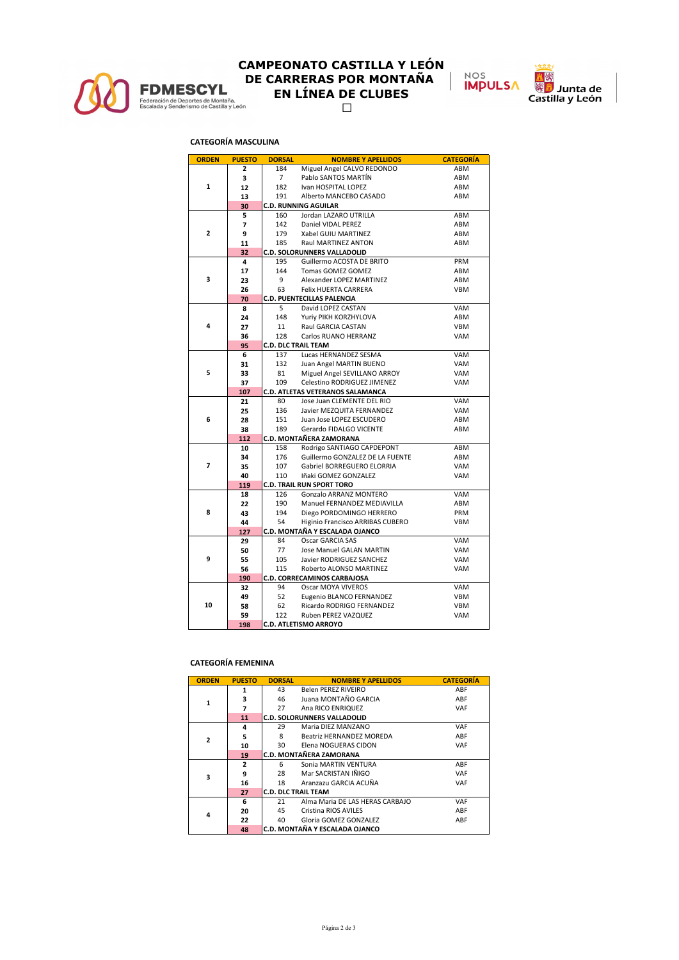

# **CAMPEONATO CASTILLA Y LEÓN FDMESCYL**<br> **DE CARRERAS POR MONTAÑA**<br>
EN LÍNEA DE CLUBES<br>
Escalada y Senderismo de Castilla y León<br>  $\Box$  **EN LÍNEA DE CLUBES**

NOS<br>**IMPULSA** 密

**San**<br>Junta de<br>Castilla y León

### **CATEGORÍA MASCULINA**

| <b>ORDEN</b> | <b>PUESTO</b> | <b>DORSAL</b>               | <b>NOMBRE Y APELLIDOS</b>        | <b>CATEGORÍA</b> |
|--------------|---------------|-----------------------------|----------------------------------|------------------|
|              | 2             | 184                         | Miguel Angel CALVO REDONDO       | ABM              |
| $\mathbf{1}$ | 3             | $\overline{7}$              | Pablo SANTOS MARTÍN              | ABM              |
|              | 12            | 182                         | Ivan HOSPITAL LOPEZ              | ABM              |
|              | 13            | 191                         | Alberto MANCEBO CASADO           | ABM              |
|              | 30            | <b>C.D. RUNNING AGUILAR</b> |                                  |                  |
|              | 5             | 160                         | Jordan LAZARO UTRILLA            | ABM              |
| 2            | 7             | 142                         | Daniel VIDAL PEREZ               | ABM              |
|              | 9             | 179                         | Xabel GUIU MARTINEZ              | ABM              |
|              | 11            | 185                         | Raul MARTINEZ ANTON              | ABM              |
|              | 32            |                             | C.D. SOLORUNNERS VALLADOLID      |                  |
|              | 4             | 195                         | Guillermo ACOSTA DE BRITO        | PRM              |
|              | 17            | 144                         | Tomas GOMEZ GOMEZ                | ABM              |
| 3            | 23            | 9                           | Alexander LOPEZ MARTINEZ         | ABM              |
|              | 26            | 63                          | <b>Felix HUERTA CARRERA</b>      | <b>VBM</b>       |
|              | 70            |                             | C.D. PUENTECILLAS PALENCIA       |                  |
|              | 8             | 5                           | David LOPEZ CASTAN               | <b>VAM</b>       |
|              | 24            | 148                         | Yuriy PIKH KORZHYLOVA            | ABM              |
| 4            | 27            | 11                          | Raul GARCIA CASTAN               | <b>VBM</b>       |
|              | 36            | 128                         | Carlos RUANO HERRANZ             | VAM              |
|              | 95            | <b>C.D. DLC TRAIL TEAM</b>  |                                  |                  |
|              | 6             | 137                         | Lucas HERNANDEZ SESMA            | VAM              |
|              | 31            | 132                         | Juan Angel MARTIN BUENO          | VAM              |
| 5            | 33            | 81                          | Miguel Angel SEVILLANO ARROY     | VAM              |
|              | 37            | 109                         | Celestino RODRIGUEZ JIMENEZ      | VAM              |
|              | 107           |                             | C.D. ATLETAS VETERANOS SALAMANCA |                  |
|              | 21            | 80                          | Jose Juan CLEMENTE DEL RIO       | <b>VAM</b>       |
|              | 25            | 136                         | Javier MEZQUITA FERNANDEZ        | VAM              |
| 6            | 28            | 151                         | Juan Jose LOPEZ ESCUDERO         | ABM              |
|              | 38            | 189                         | Gerardo FIDALGO VICENTE          | ABM              |
|              | 112           |                             | C.D. MONTAÑERA ZAMORANA          |                  |
|              | 10            | 158                         | Rodrigo SANTIAGO CAPDEPONT       | ABM              |
|              | 34            | 176                         | Guillermo GONZALEZ DE LA FUENTE  | ABM              |
| 7            | 35            | 107                         | Gabriel BORREGUERO ELORRIA       | VAM              |
|              | 40            | 110                         | Iñaki GOMEZ GONZALEZ             | VAM              |
|              | 119           |                             | <b>C.D. TRAIL RUN SPORT TORO</b> |                  |
|              | 18            | 126                         | Gonzalo ARRANZ MONTERO           | VAM              |
|              | 22            | 190                         | Manuel FERNANDEZ MEDIAVILLA      | ABM              |
| 8            | 43            | 194                         | Diego PORDOMINGO HERRERO         | PRM              |
|              | 44            | 54                          | Higinio Francisco ARRIBAS CUBERO | <b>VBM</b>       |
|              | 127           |                             | C.D. MONTAÑA Y ESCALADA OJANCO   |                  |
|              | 29            | 84                          | Oscar GARCIA SAS                 | VAM              |
|              | 50            | 77                          | Jose Manuel GALAN MARTIN         | VAM              |
| 9            | 55            | 105                         | Javier RODRIGUEZ SANCHEZ         | VAM              |
|              | 56            | 115                         | Roberto ALONSO MARTINEZ          | VAM              |
|              | 190           |                             | C.D. CORRECAMINOS CARBAJOSA      |                  |
|              | 32            | 94                          | Oscar MOYA VIVEROS               | VAM              |
|              | 49            | 52                          | Eugenio BLANCO FERNANDEZ         | <b>VBM</b>       |
| 10           | 58            | 62                          | Ricardo RODRIGO FERNANDEZ        | <b>VBM</b>       |
|              | 59            | 122                         | Ruben PEREZ VAZQUEZ              | VAM              |
|              | 198           |                             | <b>C.D. ATLETISMO ARROYO</b>     |                  |

#### **CATEGORÍA FEMENINA**

| <b>ORDEN</b>   | <b>PUESTO</b> | <b>DORSAL</b>              | <b>NOMBRE Y APELLIDOS</b>          | <b>CATEGORÍA</b> |  |  |  |  |  |
|----------------|---------------|----------------------------|------------------------------------|------------------|--|--|--|--|--|
|                | 1             | 43                         | Belen PEREZ RIVEIRO                | ABF              |  |  |  |  |  |
| $\mathbf{1}$   | 3             | 46                         | Juana MONTAÑO GARCIA               | ABF              |  |  |  |  |  |
|                | 7             | 27                         | Ana RICO ENRIQUEZ                  | <b>VAF</b>       |  |  |  |  |  |
|                | 11            |                            | <b>C.D. SOLORUNNERS VALLADOLID</b> |                  |  |  |  |  |  |
|                | 4             | 29                         | Maria DIEZ MANZANO                 | <b>VAF</b>       |  |  |  |  |  |
| $\overline{2}$ | 5             | 8                          | Beatriz HERNANDEZ MOREDA           | ABF              |  |  |  |  |  |
|                | 10            | 30                         | Elena NOGUERAS CIDON               | <b>VAF</b>       |  |  |  |  |  |
|                | 19            |                            | C.D. MONTAÑERA ZAMORANA            |                  |  |  |  |  |  |
|                | 2             | 6                          | Sonia MARTIN VENTURA               | ABF              |  |  |  |  |  |
| 3              | 9             | 28                         | Mar SACRISTAN IÑIGO                | <b>VAF</b>       |  |  |  |  |  |
|                | 16            | 18                         | Aranzazu GARCIA ACUÑA              | <b>VAF</b>       |  |  |  |  |  |
|                | 27            | <b>C.D. DLC TRAIL TEAM</b> |                                    |                  |  |  |  |  |  |
|                | 6             | 21                         | Alma Maria DE LAS HERAS CARBAJO    | <b>VAF</b>       |  |  |  |  |  |
| 4              | 20            | 45                         | Cristina RIOS AVILES               | ABF              |  |  |  |  |  |
|                | 22            | 40                         | Gloria GOMEZ GONZALEZ              | ABF              |  |  |  |  |  |
|                | 48            |                            | C.D. MONTAÑA Y ESCALADA OJANCO     |                  |  |  |  |  |  |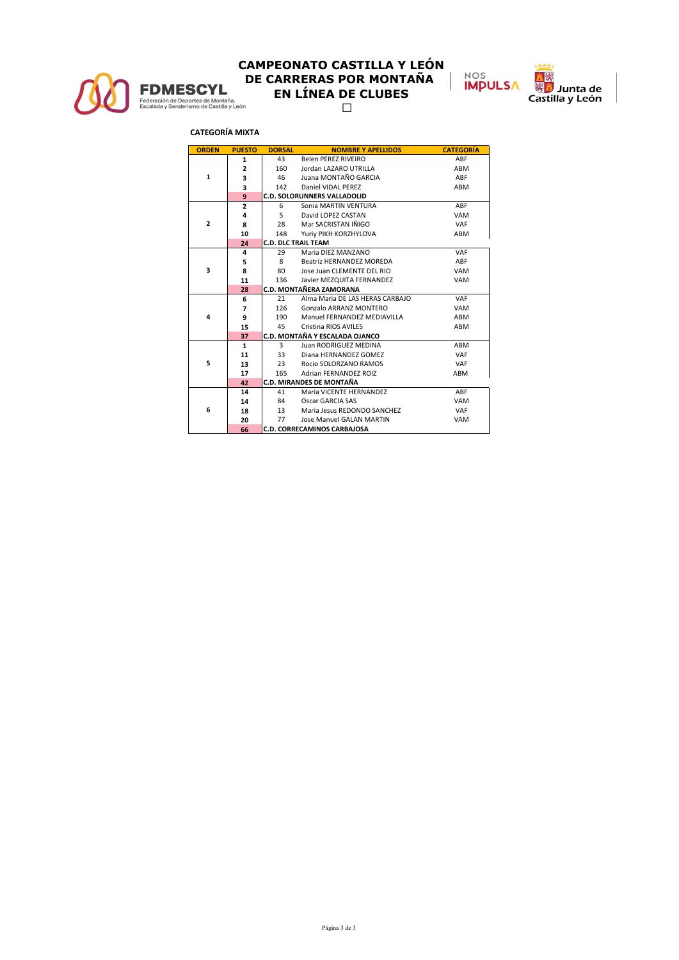

# **CAMPEONATO CASTILLA Y LEÓN FDMESCYL**<br> **DE CARRERAS POR MONTAÑA**<br>
EN LÍNEA DE CLUBES<br>
Escalada y Senderismo de Castilla y León<br>  $\Box$  **EN LÍNEA DE CLUBES**



### **CATEGORÍA MIXTA**

| <b>ORDEN</b>   | <b>PUESTO</b>  | <b>DORSAL</b>              | <b>NOMBRE Y APELLIDOS</b>          | <b>CATEGORÍA</b> |
|----------------|----------------|----------------------------|------------------------------------|------------------|
|                | 1              | 43                         | Belen PEREZ RIVEIRO                | ABF              |
| $\mathbf{1}$   | $\overline{2}$ | 160                        | Jordan LAZARO UTRILLA              | ABM              |
|                | 3              | 46                         | Juana MONTAÑO GARCIA               | ABF              |
|                | 3              | 142                        | Daniel VIDAL PEREZ                 | ABM              |
|                | 9              |                            | <b>C.D. SOLORUNNERS VALLADOLID</b> |                  |
|                | $\overline{2}$ | 6                          | Sonia MARTIN VENTURA               | ABF              |
|                | 4              | $5 -$                      | David LOPEZ CASTAN                 | <b>VAM</b>       |
| $\overline{2}$ | 8              | 28                         | Mar SACRISTAN IÑIGO                | VAF              |
|                | 10             | 148                        | Yuriy PIKH KORZHYLOVA              | ABM              |
|                | 24             | <b>C.D. DLC TRAIL TEAM</b> |                                    |                  |
|                | 4              | 29                         | Maria DIEZ MANZANO                 | VAF              |
|                | 5              | 8                          | Beatriz HERNANDEZ MOREDA           | ABF              |
| 3              | 8              | 80                         | Jose Juan CLEMENTE DEL RIO         | <b>VAM</b>       |
|                | 11             | 136                        | Javier MEZQUITA FERNANDEZ          | <b>VAM</b>       |
|                | 28             |                            | C.D. MONTAÑERA ZAMORANA            |                  |
|                | 6              | 21                         | Alma Maria DE LAS HERAS CARBAIO    | VAF              |
|                | 7              | 126                        | Gonzalo ARRANZ MONTERO             | <b>VAM</b>       |
| 4              | 9              | 190                        | Manuel FERNANDEZ MEDIAVILLA        | ABM              |
|                | 15             | 45                         | Cristina RIOS AVILES               | ABM              |
|                | 37             |                            | C.D. MONTAÑA Y ESCALADA OJANCO     |                  |
|                | $\mathbf{1}$   | 3                          | Juan RODRIGUEZ MEDINA              | ABM              |
|                | 11             | 33                         | Diana HERNANDEZ GOMEZ              | VAF              |
| 5              | 13             | 23                         | Rocio SOLORZANO RAMOS              | VAF              |
|                | 17             | 165                        | Adrian FERNANDEZ ROIZ              | ABM              |
|                | 42             |                            | C.D. MIRANDES DE MONTAÑA           |                  |
|                | 14             | 41                         | Maria VICENTE HERNANDEZ            | ABF              |
|                | 14             | 84                         | Oscar GARCIA SAS                   | <b>VAM</b>       |
| 6              | 18             | 13                         | Maria Jesus REDONDO SANCHEZ        | VAF              |
|                | 20             | 77                         | Jose Manuel GALAN MARTIN           | <b>VAM</b>       |
|                | 66             |                            | <b>C.D. CORRECAMINOS CARBAJOSA</b> |                  |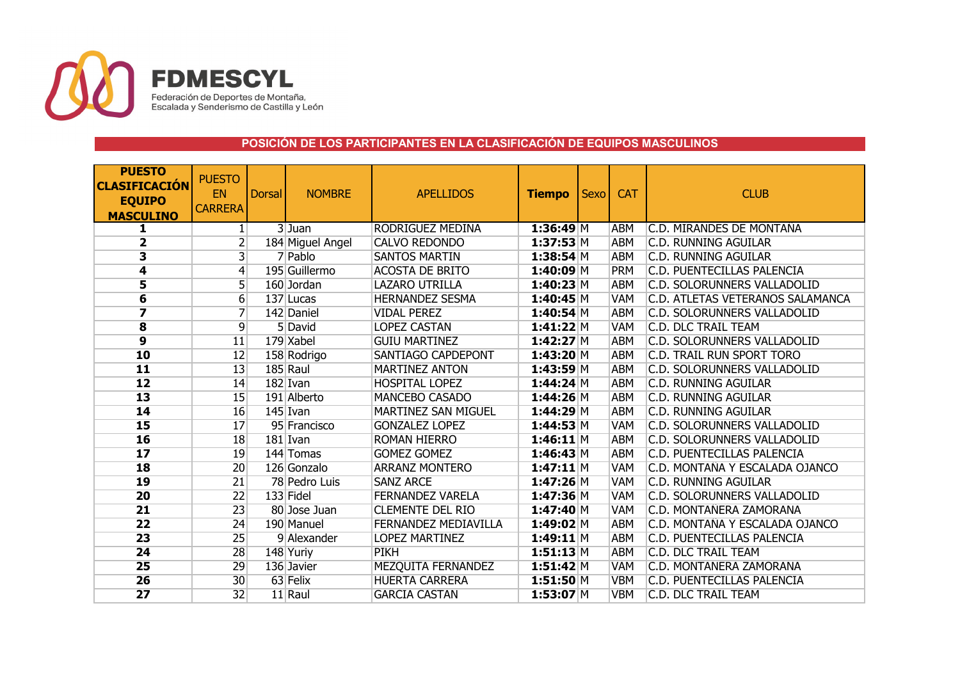

# **POSICIÓN DE LOS PARTICIPANTES EN LA CLASIFICACIÓN DE EQUIPOS MASCULINOS**

| <b>PUESTO</b><br><b>CLASIFICACIÓN</b><br><b>EQUIPO</b><br><b>MASCULINO</b> | <b>PUESTO</b><br>EN<br><b>CARRERA</b> | <b>Dorsal</b> | <b>NOMBRE</b>    | <b>APELLIDOS</b>            | <b>Tiempo</b>  | <b>Sexo</b> | <b>CAT</b> | <b>CLUB</b>                      |
|----------------------------------------------------------------------------|---------------------------------------|---------------|------------------|-----------------------------|----------------|-------------|------------|----------------------------------|
| 1                                                                          | 1                                     |               | $3$ Juan         | RODRIGUEZ MEDINA            | 1:36:49 M      |             | <b>ABM</b> | C.D. MIRANDES DE MONTAÑA         |
| $\overline{\mathbf{2}}$                                                    | 2                                     |               | 184 Miguel Angel | <b>CALVO REDONDO</b>        | $1:37:53$ M    |             | <b>ABM</b> | <b>C.D. RUNNING AGUILAR</b>      |
| 3                                                                          | $\overline{3}$                        |               | 7 Pablo          | <b>SANTOS MARTIN</b>        | $1:38:54$ M    |             | <b>ABM</b> | <b>C.D. RUNNING AGUILAR</b>      |
| 4                                                                          | 4                                     |               | 195 Guillermo    | <b>ACOSTA DE BRITO</b>      | $1:40:09$ M    |             | <b>PRM</b> | C.D. PUENTECILLAS PALENCIA       |
| 5                                                                          | 5                                     |               | 160 Jordan       | <b>LAZARO UTRILLA</b>       | 1:40:23 M      |             | <b>ABM</b> | C.D. SOLORUNNERS VALLADOLID      |
| 6                                                                          | 6                                     |               | 137 Lucas        | <b>HERNANDEZ SESMA</b>      | 1:40:45 M      |             | <b>VAM</b> | C.D. ATLETAS VETERANOS SALAMANCA |
| 7                                                                          | 7                                     |               | 142 Daniel       | <b>VIDAL PEREZ</b>          | $1:40:54$ M    |             | <b>ABM</b> | C.D. SOLORUNNERS VALLADOLID      |
| $\overline{\mathbf{8}}$                                                    | $\overline{9}$                        |               | 5 David          | <b>LOPEZ CASTAN</b>         | $1:41:22 \, M$ |             | <b>VAM</b> | C.D. DLC TRAIL TEAM              |
| $\overline{9}$                                                             | 11                                    |               | 179 Xabel        | <b>GUIU MARTINEZ</b>        | 1:42:27 M      |             | <b>ABM</b> | C.D. SOLORUNNERS VALLADOLID      |
| 10                                                                         | $\overline{12}$                       |               | 158 Rodrigo      | SANTIAGO CAPDEPONT          | 1:43:20 M      |             | <b>ABM</b> | C.D. TRAIL RUN SPORT TORO        |
| 11                                                                         | 13                                    |               | 185 Raul         | <b>MARTINEZ ANTON</b>       | 1:43:59 M      |             | <b>ABM</b> | C.D. SOLORUNNERS VALLADOLID      |
| $\overline{12}$                                                            | 14                                    |               | $182$ Ivan       | <b>HOSPITAL LOPEZ</b>       | $1:44:24$ M    |             | <b>ABM</b> | <b>C.D. RUNNING AGUILAR</b>      |
| 13                                                                         | 15                                    |               | 191 Alberto      | <b>MANCEBO CASADO</b>       | 1:44:26 M      |             | <b>ABM</b> | <b>C.D. RUNNING AGUILAR</b>      |
| 14                                                                         | 16                                    |               | $145$ Ivan       | <b>MARTINEZ SAN MIGUEL</b>  | $1:44:29$ M    |             | <b>ABM</b> | <b>C.D. RUNNING AGUILAR</b>      |
| 15                                                                         | 17                                    |               | 95 Francisco     | <b>GONZALEZ LOPEZ</b>       | $1:44:53$ M    |             | <b>VAM</b> | C.D. SOLORUNNERS VALLADOLID      |
| 16                                                                         | 18                                    |               | $181$ Ivan       | <b>ROMAN HIERRO</b>         | $1:46:11$ M    |             | <b>ABM</b> | C.D. SOLORUNNERS VALLADOLID      |
| $\overline{17}$                                                            | 19                                    |               | 144 Tomas        | <b>GOMEZ GOMEZ</b>          | $1:46:43$ M    |             | <b>ABM</b> | C.D. PUENTECILLAS PALENCIA       |
| 18                                                                         | 20                                    |               | 126 Gonzalo      | <b>ARRANZ MONTERO</b>       | $1:47:11$ M    |             | <b>VAM</b> | C.D. MONTANA Y ESCALADA OJANCO   |
| 19                                                                         | $\overline{21}$                       |               | 78 Pedro Luis    | <b>SANZ ARCE</b>            | $1:47:26$ M    |             | VAM        | <b>C.D. RUNNING AGUILAR</b>      |
| 20                                                                         | $\overline{22}$                       |               | 133 Fidel        | <b>FERNANDEZ VARELA</b>     | $1:47:36$ M    |             | <b>VAM</b> | C.D. SOLORUNNERS VALLADOLID      |
| 21                                                                         | 23                                    |               | 80 Jose Juan     | <b>CLEMENTE DEL RIO</b>     | 1:47:40 M      |             | <b>VAM</b> | C.D. MONTANERA ZAMORANA          |
| $\overline{22}$                                                            | 24                                    |               | 190 Manuel       | <b>FERNANDEZ MEDIAVILLA</b> | $1:49:02$ M    |             | <b>ABM</b> | C.D. MONTANA Y ESCALADA OJANCO   |
| 23                                                                         | 25                                    |               | 9 Alexander      | <b>LOPEZ MARTINEZ</b>       | $1:49:11$ M    |             | <b>ABM</b> | C.D. PUENTECILLAS PALENCIA       |
| 24                                                                         | 28                                    |               | 148 Yuriy        | <b>PIKH</b>                 | $1:51:13$ M    |             | <b>ABM</b> | C.D. DLC TRAIL TEAM              |
| 25                                                                         | 29                                    |               | 136 Javier       | MEZQUITA FERNANDEZ          | 1:51:42 M      |             | <b>VAM</b> | C.D. MONTAÑERA ZAMORANA          |
| 26                                                                         | 30                                    |               | 63 Felix         | <b>HUERTA CARRERA</b>       | $1:51:50$ M    |             | <b>VBM</b> | C.D. PUENTECILLAS PALENCIA       |
| $\overline{27}$                                                            | 32                                    |               | 11 Raul          | <b>GARCIA CASTAN</b>        | $1:53:07$ M    |             | <b>VBM</b> | C.D. DLC TRAIL TEAM              |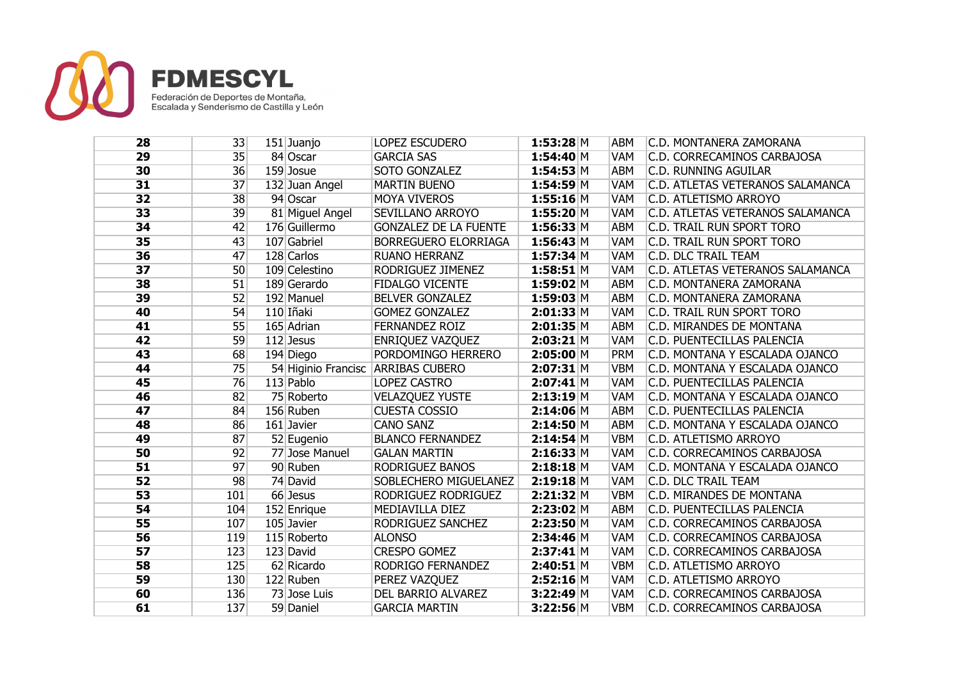

| 28              | 33  | 151 Juanjo      | LOPEZ ESCUDERO                     | 1:53:28 M   | ABM        | C.D. MONTANERA ZAMORANA            |
|-----------------|-----|-----------------|------------------------------------|-------------|------------|------------------------------------|
| 29              | 35  | 84 Oscar        | <b>GARCIA SAS</b>                  | 1:54:40 M   | <b>VAM</b> | C.D. CORRECAMINOS CARBAJOSA        |
| 30              | 36  | 159 Josue       | SOTO GONZALEZ                      | $1:54:53$ M | <b>ABM</b> | <b>C.D. RUNNING AGUILAR</b>        |
| 31              | 37  | 132 Juan Angel  | <b>MARTIN BUENO</b>                | $1:54:59$ M | <b>VAM</b> | C.D. ATLETAS VETERANOS SALAMANCA   |
| 32              | 38  | 94 Oscar        | <b>MOYA VIVEROS</b>                | $1:55:16$ M | <b>VAM</b> | C.D. ATLETISMO ARROYO              |
| 33              | 39  | 81 Miguel Angel | <b>SEVILLANO ARROYO</b>            | 1:55:20 M   | <b>VAM</b> | C.D. ATLETAS VETERANOS SALAMANCA   |
| 34              | 42  | 176 Guillermo   | <b>GONZALEZ DE LA FUENTE</b>       | 1:56:33 M   | <b>ABM</b> | C.D. TRAIL RUN SPORT TORO          |
| 35              | 43  | 107 Gabriel     | BORREGUERO ELORRIAGA               | $1:56:43$ M | <b>VAM</b> | C.D. TRAIL RUN SPORT TORO          |
| 36              | 47  | 128 Carlos      | <b>RUANO HERRANZ</b>               | $1:57:34$ M | <b>VAM</b> | C.D. DLC TRAIL TEAM                |
| $\overline{37}$ | 50  | 109 Celestino   | RODRIGUEZ JIMENEZ                  | $1:58:51$ M | <b>VAM</b> | C.D. ATLETAS VETERANOS SALAMANCA   |
| 38              | 51  | 189 Gerardo     | <b>FIDALGO VICENTE</b>             | $1:59:02$ M | <b>ABM</b> | C.D. MONTAÑERA ZAMORANA            |
| 39              | 52  | 192 Manuel      | <b>BELVER GONZALEZ</b>             | $1:59:03$ M | <b>ABM</b> | C.D. MONTAÑERA ZAMORANA            |
| 40              | 54  | 110 Iñaki       | <b>GOMEZ GONZALEZ</b>              | $2:01:33$ M | VAM        | <b>C.D. TRAIL RUN SPORT TORO</b>   |
| 41              | 55  | 165 Adrian      | <b>FERNANDEZ ROIZ</b>              | $2:01:35$ M | <b>ABM</b> | C.D. MIRANDES DE MONTAÑA           |
| 42              | 59  | 112 Jesus       | <b>ENRIQUEZ VAZQUEZ</b>            | $2:03:21$ M | VAM        | C.D. PUENTECILLAS PALENCIA         |
| 43              | 68  | 194 Diego       | PORDOMINGO HERRERO                 | $2:05:00$ M | <b>PRM</b> | C.D. MONTAÑA Y ESCALADA OJANCO     |
| 44              | 75  |                 | 54 Higinio Francisc ARRIBAS CUBERO | $2:07:31$ M | <b>VBM</b> | C.D. MONTAÑA Y ESCALADA OJANCO     |
| 45              | 76  | 113 Pablo       | <b>LOPEZ CASTRO</b>                | $2:07:41$ M | <b>VAM</b> | C.D. PUENTECILLAS PALENCIA         |
| 46              | 82  | 75 Roberto      | <b>VELAZQUEZ YUSTE</b>             | $2:13:19$ M | <b>VAM</b> | C.D. MONTAÑA Y ESCALADA OJANCO     |
| 47              | 84  | 156 Ruben       | <b>CUESTA COSSIO</b>               | $2:14:06$ M | <b>ABM</b> | C.D. PUENTECILLAS PALENCIA         |
| 48              | 86  | 161 Javier      | <b>CANO SANZ</b>                   | 2:14:50 M   | <b>ABM</b> | C.D. MONTAÑA Y ESCALADA OJANCO     |
| 49              | 87  | 52 Eugenio      | <b>BLANCO FERNANDEZ</b>            | $2:14:54$ M | <b>VBM</b> | C.D. ATLETISMO ARROYO              |
| 50              | 92  | 77 Jose Manuel  | <b>GALAN MARTIN</b>                | $2:16:33$ M | VAM        | C.D. CORRECAMINOS CARBAJOSA        |
| 51              | 97  | 90 Ruben        | RODRIGUEZ BAÑOS                    | $2:18:18$ M | <b>VAM</b> | C.D. MONTAÑA Y ESCALADA OJANCO     |
| 52              | 98  | 74 David        | SOBLECHERO MIGUELAÑEZ              | $2:19:18$ M | <b>VAM</b> | <b>C.D. DLC TRAIL TEAM</b>         |
| 53              | 101 | 66 Jesus        | RODRIGUEZ RODRIGUEZ                | 2:21:32 M   | <b>VBM</b> | C.D. MIRANDES DE MONTAÑA           |
| 54              | 104 | 152 Enrique     | MEDIAVILLA DIEZ                    | $2:23:02$ M | <b>ABM</b> | C.D. PUENTECILLAS PALENCIA         |
| 55              | 107 | 105 Javier      | <b>RODRIGUEZ SANCHEZ</b>           | 2:23:50 M   | <b>VAM</b> | C.D. CORRECAMINOS CARBAJOSA        |
| 56              | 119 | 115 Roberto     | <b>ALONSO</b>                      | $2:34:46$ M | <b>VAM</b> | C.D. CORRECAMINOS CARBAJOSA        |
| 57              | 123 | 123 David       | <b>CRESPO GOMEZ</b>                | $2:37:41$ M | <b>VAM</b> | C.D. CORRECAMINOS CARBAJOSA        |
| 58              | 125 | 62 Ricardo      | RODRIGO FERNANDEZ                  | $2:40:51$ M | <b>VBM</b> | C.D. ATLETISMO ARROYO              |
| 59              | 130 | 122 Ruben       | PEREZ VAZQUEZ                      | 2:52:16 M   | <b>VAM</b> | C.D. ATLETISMO ARROYO              |
| 60              | 136 | 73 Jose Luis    | <b>DEL BARRIO ALVAREZ</b>          | $3:22:49$ M | <b>VAM</b> | C.D. CORRECAMINOS CARBAJOSA        |
| 61              | 137 | 59 Daniel       | <b>GARCIA MARTIN</b>               | 3:22:56 M   | <b>VBM</b> | <b>C.D. CORRECAMINOS CARBAJOSA</b> |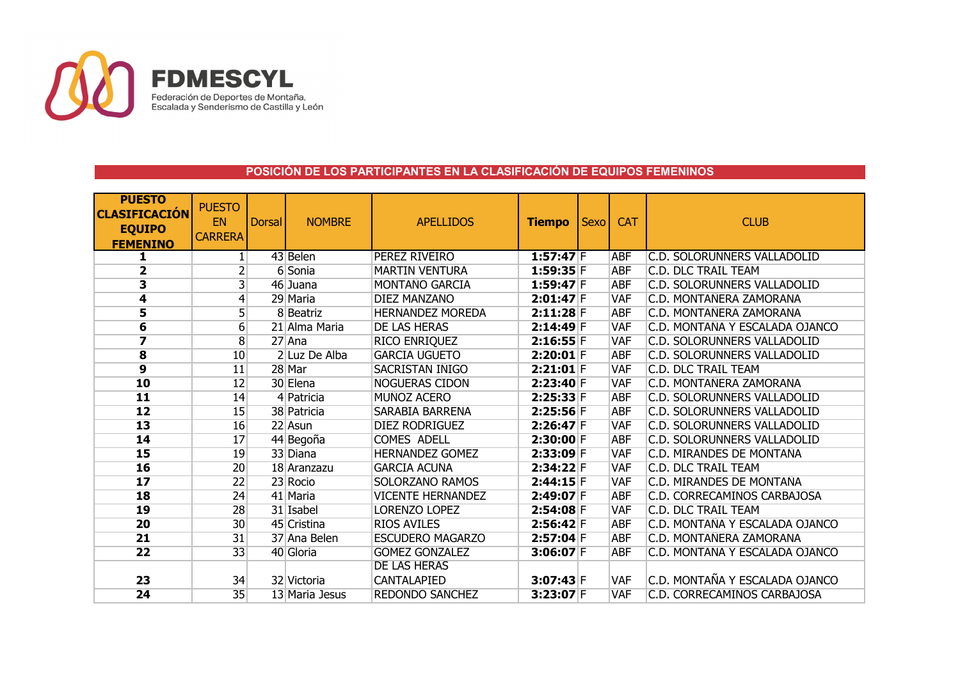

# **POSICIÓN DE LOS PARTICIPANTES EN LA CLASIFICACIÓN DE EQUIPOS FEMENINOS**

| <b>PUESTO</b><br><b>CLASIFICACIÓN</b><br><b>EQUIPO</b><br><b>FEMENINO</b> | <b>PUESTO</b><br>EN<br><b>CARRERA</b> | <b>Dorsal</b> | <b>NOMBRE</b>  | <b>APELLIDOS</b>         | <b>Tiempo</b> | Sexo | <b>CAT</b> | <b>CLUB</b>                        |
|---------------------------------------------------------------------------|---------------------------------------|---------------|----------------|--------------------------|---------------|------|------------|------------------------------------|
| 1                                                                         |                                       |               | 43 Belen       | PEREZ RIVEIRO            | $1:57:47$ F   |      | <b>ABF</b> | <b>C.D. SOLORUNNERS VALLADOLID</b> |
| $\overline{\mathbf{2}}$                                                   | $\overline{2}$                        |               | 6 Sonia        | <b>MARTIN VENTURA</b>    | $1:59:35$ F   |      | <b>ABF</b> | C.D. DLC TRAIL TEAM                |
| 3                                                                         | $\overline{\mathsf{3}}$               |               | 46 Juana       | MONTAÑO GARCIA           | $1:59:47$ F   |      | <b>ABF</b> | C.D. SOLORUNNERS VALLADOLID        |
| 4                                                                         | $\vert 4 \vert$                       |               | 29 Maria       | <b>DIEZ MANZANO</b>      | $2:01:47$ F   |      | <b>VAF</b> | C.D. MONTAÑERA ZAMORANA            |
| 5                                                                         | $\overline{5}$                        |               | 8 Beatriz      | <b>HERNANDEZ MOREDA</b>  | $2:11:28$ F   |      | <b>ABF</b> | C.D. MONTAÑERA ZAMORANA            |
| $6\overline{6}$                                                           | 6                                     |               | 21 Alma Maria  | DE LAS HERAS             | $2:14:49$ F   |      | <b>VAF</b> | C.D. MONTAÑA Y ESCALADA OJANCO     |
| 7                                                                         | $\overline{8}$                        |               | $27$ Ana       | RICO ENRIQUEZ            | $2:16:55$ F   |      | <b>VAF</b> | C.D. SOLORUNNERS VALLADOLID        |
| $\overline{\mathbf{8}}$                                                   | 10                                    |               | 2 Luz De Alba  | <b>GARCIA UGUETO</b>     | $2:20:01$ F   |      | <b>ABF</b> | C.D. SOLORUNNERS VALLADOLID        |
| $\overline{9}$                                                            | 11                                    |               | 28 Mar         | SACRISTAN IÑIGO          | $2:21:01$ F   |      | <b>VAF</b> | C.D. DLC TRAIL TEAM                |
| 10                                                                        | 12                                    |               | 30 Elena       | <b>NOGUERAS CIDON</b>    | $2:23:40$ F   |      | <b>VAF</b> | C.D. MONTAÑERA ZAMORANA            |
| $\overline{11}$                                                           | 14                                    |               | 4 Patricia     | MUÑOZ ACERO              | 2:25:33 F     |      | <b>ABF</b> | C.D. SOLORUNNERS VALLADOLID        |
| 12                                                                        | 15                                    |               | 38 Patricia    | SARABIA BARRENA          | $2:25:56$ F   |      | <b>ABF</b> | C.D. SOLORUNNERS VALLADOLID        |
| 13                                                                        | 16                                    |               | 22 Asun        | <b>DIEZ RODRIGUEZ</b>    | $2:26:47$ F   |      | <b>VAF</b> | C.D. SOLORUNNERS VALLADOLID        |
| 14                                                                        | 17                                    |               | 44 Begoña      | <b>COMES ADELL</b>       | $2:30:00$ F   |      | <b>ABF</b> | C.D. SOLORUNNERS VALLADOLID        |
| $\overline{\mathbf{15}}$                                                  | 19                                    |               | 33 Diana       | <b>HERNANDEZ GOMEZ</b>   | 2:33:09 F     |      | <b>VAF</b> | C.D. MIRANDES DE MONTANA           |
| 16                                                                        | $\overline{20}$                       |               | 18 Aranzazu    | <b>GARCIA ACUNA</b>      | $2:34:22$ F   |      | <b>VAF</b> | <b>C.D. DLC TRAIL TEAM</b>         |
| $\overline{\mathbf{17}}$                                                  | $\overline{22}$                       |               | 23 Rocio       | <b>SOLORZANO RAMOS</b>   | $2:44:15$ F   |      | <b>VAF</b> | <b>C.D. MIRANDES DE MONTANA</b>    |
| 18                                                                        | 24                                    |               | 41 Maria       | <b>VICENTE HERNANDEZ</b> | 2:49:07 F     |      | <b>ABF</b> | C.D. CORRECAMINOS CARBAJOSA        |
| 19                                                                        | 28                                    |               | 31 Isabel      | <b>LORENZO LOPEZ</b>     | $2:54:08$ F   |      | <b>VAF</b> | <b>C.D. DLC TRAIL TEAM</b>         |
| 20                                                                        | 30                                    |               | 45 Cristina    | <b>RIOS AVILES</b>       | $2:56:42$ F   |      | <b>ABF</b> | C.D. MONTANA Y ESCALADA OJANCO     |
| 21                                                                        | 31                                    |               | 37 Ana Belen   | <b>ESCUDERO MAGARZO</b>  | $2:57:04$ F   |      | <b>ABF</b> | C.D. MONTAÑERA ZAMORANA            |
| $\overline{22}$                                                           | 33                                    |               | 40 Gloria      | <b>GOMEZ GONZALEZ</b>    | $3:06:07$ F   |      | <b>ABF</b> | C.D. MONTAÑA Y ESCALADA OJANCO     |
|                                                                           |                                       |               |                | <b>DE LAS HERAS</b>      |               |      |            |                                    |
| 23                                                                        | 34                                    |               | 32 Victoria    | CANTALAPIED              | $3:07:43$ F   |      | <b>VAF</b> | C.D. MONTAÑA Y ESCALADA OJANCO     |
| 24                                                                        | 35                                    |               | 13 Maria Jesus | <b>REDONDO SANCHEZ</b>   | $3:23:07$ F   |      | <b>VAF</b> | C.D. CORRECAMINOS CARBAJOSA        |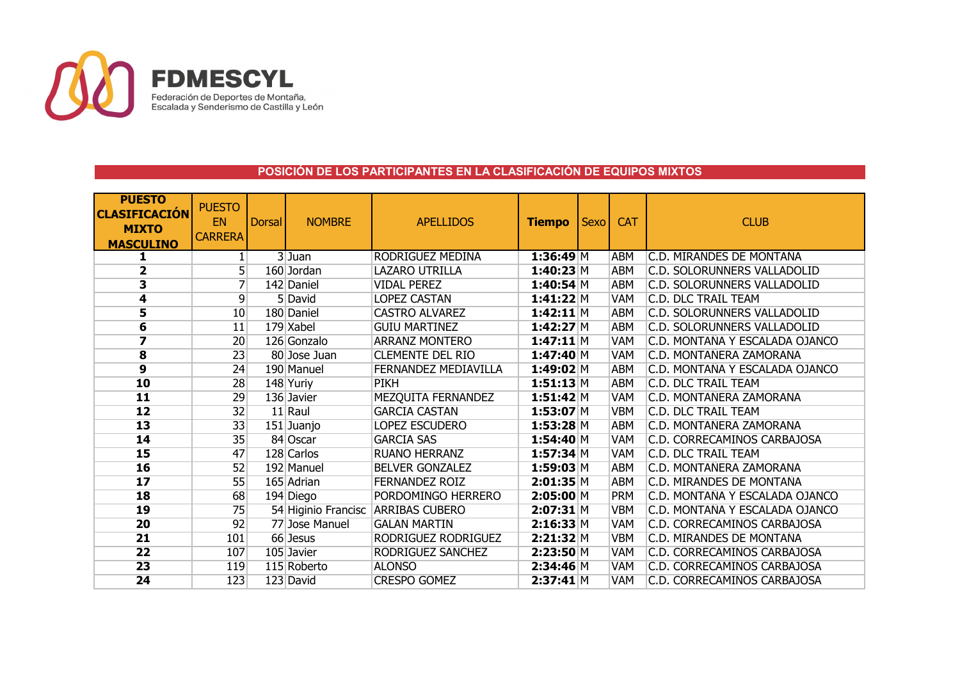

## **POSICIÓN DE LOS PARTICIPANTES EN LA CLASIFICACIÓN DE EQUIPOS MIXTOS**

| <b>PUESTO</b><br><b>CLASIFICACIÓN</b><br><b>MIXTO</b><br><b>MASCULINO</b> | <b>PUESTO</b><br><b>EN</b><br><b>CARRERA</b> | <b>Dorsal</b> | <b>NOMBRE</b>  | <b>APELLIDOS</b>                   | <b>Tiempo</b> | Sexo | <b>CAT</b> | <b>CLUB</b>                        |
|---------------------------------------------------------------------------|----------------------------------------------|---------------|----------------|------------------------------------|---------------|------|------------|------------------------------------|
| 1                                                                         |                                              |               | $3$ Juan       | RODRIGUEZ MEDINA                   | 1:36:49 M     |      | ABM        | C.D. MIRANDES DE MONTAÑA           |
| 2                                                                         | 5                                            |               | 160 Jordan     | <b>LAZARO UTRILLA</b>              | 1:40:23 M     |      | ABM        | <b>C.D. SOLORUNNERS VALLADOLID</b> |
| 3                                                                         | 7                                            |               | 142 Daniel     | <b>VIDAL PEREZ</b>                 | $1:40:54$ M   |      | <b>ABM</b> | C.D. SOLORUNNERS VALLADOLID        |
| 4                                                                         | 9                                            |               | 5 David        | <b>LOPEZ CASTAN</b>                | 1:41:22 M     |      | <b>VAM</b> | C.D. DLC TRAIL TEAM                |
| 5                                                                         | 10                                           |               | 180 Daniel     | <b>CASTRO ALVAREZ</b>              | $1:42:11$ M   |      | <b>ABM</b> | C.D. SOLORUNNERS VALLADOLID        |
| 6                                                                         | 11                                           |               | 179 Xabel      | <b>GUIU MARTINEZ</b>               | 1:42:27 M     |      | <b>ABM</b> | C.D. SOLORUNNERS VALLADOLID        |
| $\overline{\mathbf{z}}$                                                   | $\overline{20}$                              |               | 126 Gonzalo    | <b>ARRANZ MONTERO</b>              | $1:47:11$ M   |      | <b>VAM</b> | C.D. MONTAÑA Y ESCALADA OJANCO     |
| $\overline{\mathbf{8}}$                                                   | 23                                           |               | 80 Jose Juan   | <b>CLEMENTE DEL RIO</b>            | 1:47:40 M     |      | <b>VAM</b> | C.D. MONTAÑERA ZAMORANA            |
| 9                                                                         | 24                                           |               | 190 Manuel     | FERNANDEZ MEDIAVILLA               | $1:49:02$ M   |      | ABM        | C.D. MONTAÑA Y ESCALADA OJANCO     |
| 10                                                                        | 28                                           |               | 148 Yuriy      | <b>PIKH</b>                        | 1:51:13 M     |      | ABM        | C.D. DLC TRAIL TEAM                |
| $\overline{\mathbf{11}}$                                                  | 29                                           |               | 136 Javier     | MEZQUITA FERNANDEZ                 | $1:51:42$ M   |      | <b>VAM</b> | C.D. MONTAÑERA ZAMORANA            |
| $\overline{12}$                                                           | 32                                           |               | 11 Raul        | <b>GARCIA CASTAN</b>               | $1:53:07$ M   |      | <b>VBM</b> | C.D. DLC TRAIL TEAM                |
| 13                                                                        | 33                                           |               | 151 Juanjo     | LOPEZ ESCUDERO                     | $1:53:28$ M   |      | ABM        | C.D. MONTAÑERA ZAMORANA            |
| 14                                                                        | 35                                           |               | 84 Oscar       | <b>GARCIA SAS</b>                  | 1:54:40 M     |      | <b>VAM</b> | C.D. CORRECAMINOS CARBAJOSA        |
| 15                                                                        | 47                                           |               | 128 Carlos     | <b>RUANO HERRANZ</b>               | 1:57:34 M     |      | <b>VAM</b> | C.D. DLC TRAIL TEAM                |
| 16                                                                        | 52                                           |               | 192 Manuel     | <b>BELVER GONZALEZ</b>             | $1:59:03$ M   |      | <b>ABM</b> | C.D. MONTAÑERA ZAMORANA            |
| $\overline{17}$                                                           | 55                                           |               | 165 Adrian     | <b>FERNANDEZ ROIZ</b>              | 2:01:35 M     |      | <b>ABM</b> | C.D. MIRANDES DE MONTAÑA           |
| 18                                                                        | 68                                           |               | 194 Diego      | PORDOMINGO HERRERO                 | 2:05:00 M     |      | <b>PRM</b> | C.D. MONTANA Y ESCALADA OJANCO     |
| 19                                                                        | 75                                           |               |                | 54 Higinio Francisc ARRIBAS CUBERO | $2:07:31$ M   |      | <b>VBM</b> | C.D. MONTANA Y ESCALADA OJANCO     |
| 20                                                                        | $\overline{92}$                              |               | 77 Jose Manuel | <b>GALAN MARTIN</b>                | 2:16:33 M     |      | <b>VAM</b> | C.D. CORRECAMINOS CARBAJOSA        |
| 21                                                                        | 101                                          |               | 66 Jesus       | RODRIGUEZ RODRIGUEZ                | 2:21:32 M     |      | <b>VBM</b> | C.D. MIRANDES DE MONTAÑA           |
| 22                                                                        | 107                                          |               | 105 Javier     | RODRIGUEZ SANCHEZ                  | 2:23:50 M     |      | VAM        | C.D. CORRECAMINOS CARBAJOSA        |
| 23                                                                        | 119                                          |               | 115 Roberto    | <b>ALONSO</b>                      | $2:34:46$ M   |      | <b>VAM</b> | C.D. CORRECAMINOS CARBAJOSA        |
| 24                                                                        | 123                                          |               | 123 David      | <b>CRESPO GOMEZ</b>                | $2:37:41$ M   |      | <b>VAM</b> | C.D. CORRECAMINOS CARBAJOSA        |